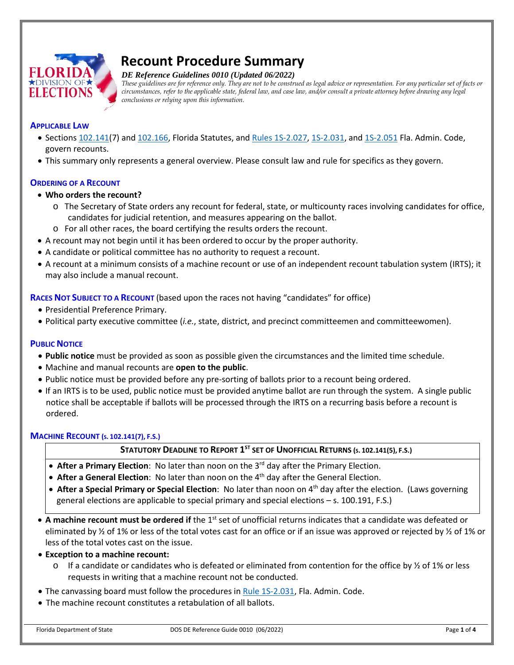

# **Recount Procedure Summary**

*DE Reference Guidelines 0010 (Updated 06/2022)*

*These guidelines are for reference only. They are not to be construed as legal advice or representation. For any particular set of facts or circumstances, refer to the applicable state, federal law, and case law, and/or consult a private attorney before drawing any legal conclusions or relying upon this information.*

#### **APPLICABLE LAW**

- Sections [102.141\(](http://www.leg.state.fl.us/Statutes/index.cfm?App_mode=Display_Statute&Search_String=&URL=0100-0199/0102/Sections/0102.141.html)7) and [102.166,](http://www.leg.state.fl.us/Statutes/index.cfm?App_mode=Display_Statute&Search_String=&URL=0100-0199/0102/Sections/0102.166.html) Florida Statutes, and [Rules 1S-2.027,](http://election.myflorida.com/rules/adopted-rules/pdf/1S2027-final.pdf) [1S-2.031,](http://election.myflorida.com/rules/adopted-rules/pdf/1s2031.pdf) an[d 1S-2.051](https://www.flrules.org/gateway/RuleNo.asp?title=ELECTIONS&ID=1S-2.051) Fla. Admin. Code, govern recounts.
- This summary only represents a general overview. Please consult law and rule for specifics as they govern.

## **ORDERING OF A RECOUNT**

## • **Who orders the recount?**

- o The Secretary of State orders any recount for federal, state, or multicounty races involving candidates for office, candidates for judicial retention, and measures appearing on the ballot.
- o For all other races, the board certifying the results orders the recount.
- A recount may not begin until it has been ordered to occur by the proper authority.
- A candidate or political committee has no authority to request a recount.
- A recount at a minimum consists of a machine recount or use of an independent recount tabulation system (IRTS); it may also include a manual recount.

**RACES NOT SUBJECT TO A RECOUNT** (based upon the races not having "candidates" for office)

- Presidential Preference Primary.
- Political party executive committee (*i.e.*, state, district, and precinct committeemen and committeewomen).

## **PUBLIC NOTICE**

- **Public notice** must be provided as soon as possible given the circumstances and the limited time schedule.
- Machine and manual recounts are **open to the public**.
- Public notice must be provided before any pre-sorting of ballots prior to a recount being ordered.
- If an IRTS is to be used, public notice must be provided anytime ballot are run through the system. A single public notice shall be acceptable if ballots will be processed through the IRTS on a recurring basis before a recount is ordered.

## **MACHINE RECOUNT (S. 102.141(7), F.S.)**

## **STATUTORY DEADLINE TO REPORT 1ST SET OF UNOFFICIAL RETURNS (S. 102.141(5), F.S.)**

- **After a Primary Election**: No later than noon on the 3rd day after the Primary Election.
- **After a General Election**: No later than noon on the 4th day after the General Election.
- **After a Special Primary or Special Election**: No later than noon on 4th day after the election. (Laws governing general elections are applicable to special primary and special elections – s. 100.191, F.S.)
- A machine recount must be ordered if the 1<sup>st</sup> set of unofficial returns indicates that a candidate was defeated or eliminated by  $\frac{1}{2}$  of 1% or less of the total votes cast for an office or if an issue was approved or rejected by  $\frac{1}{2}$  of 1% or less of the total votes cast on the issue.

## • **Exception to a machine recount:**

- $\circ$  If a candidate or candidates who is defeated or eliminated from contention for the office by  $\frac{1}{2}$  of 1% or less requests in writing that a machine recount not be conducted.
- The canvassing board must follow the procedures in [Rule 1S-2.031,](http://election.myflorida.com/rules/adopted-rules/pdf/1s2031.pdf) Fla. Admin. Code.
- The machine recount constitutes a retabulation of all ballots.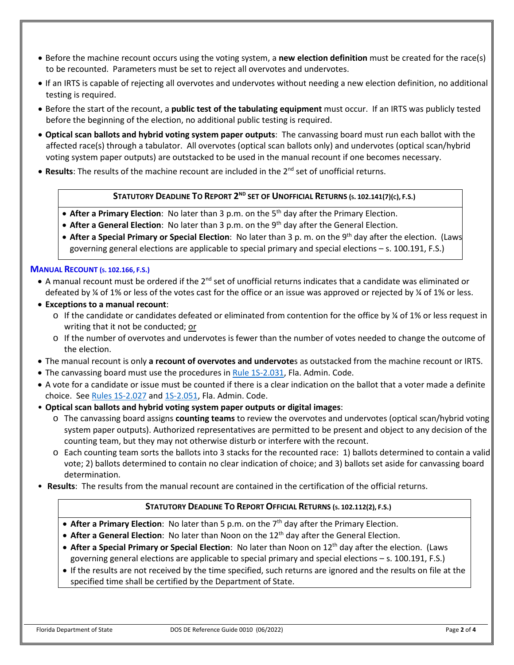- Before the machine recount occurs using the voting system, a **new election definition** must be created for the race(s) to be recounted. Parameters must be set to reject all overvotes and undervotes.
- If an IRTS is capable of rejecting all overvotes and undervotes without needing a new election definition, no additional testing is required.
- Before the start of the recount, a **public test of the tabulating equipment** must occur. If an IRTS was publicly tested before the beginning of the election, no additional public testing is required.
- **Optical scan ballots and hybrid voting system paper outputs**: The canvassing board must run each ballot with the affected race(s) through a tabulator. All overvotes (optical scan ballots only) and undervotes (optical scan/hybrid voting system paper outputs) are outstacked to be used in the manual recount if one becomes necessary.
- Results: The results of the machine recount are included in the 2<sup>nd</sup> set of unofficial returns.

## **STATUTORY DEADLINE TO REPORT 2ND SET OF UNOFFICIAL RETURNS (S. 102.141(7)(C), F.S.)**

- After a Primary Election: No later than 3 p.m. on the 5<sup>th</sup> day after the Primary Election.
- **After a General Election**: No later than 3 p.m. on the 9th day after the General Election.
- **After a Special Primary or Special Election**: No later than 3 p. m. on the 9th day after the election. (Laws governing general elections are applicable to special primary and special elections – s. 100.191, F.S.)

## **MANUAL RECOUNT (S. 102.166, F.S.)**

- $\bullet$  A manual recount must be ordered if the 2<sup>nd</sup> set of unofficial returns indicates that a candidate was eliminated or defeated by  $\frac{1}{4}$  of 1% or less of the votes cast for the office or an issue was approved or rejected by  $\frac{1}{4}$  of 1% or less.
- **Exceptions to a manual recount**:
	- $\circ$  If the candidate or candidates defeated or eliminated from contention for the office by  $\frac{1}{4}$  of 1% or less request in writing that it not be conducted; or
	- o If the number of overvotes and undervotes is fewer than the number of votes needed to change the outcome of the election.
- The manual recount is only **a recount of overvotes and undervote**s as outstacked from the machine recount or IRTS.
- The canvassing board must use the procedures in [Rule 1S-2.031,](http://election.myflorida.com/rules/adopted-rules/pdf/1s2031.pdf) Fla. Admin. Code.
- A vote for a candidate or issue must be counted if there is a clear indication on the ballot that a voter made a definite choice. See Rules [1S-2.027](http://election.myflorida.com/rules/adopted-rules/pdf/1S2027-final.pdf) an[d 1S-2.051,](https://www.flrules.org/gateway/RuleNo.asp?title=ELECTIONS&ID=1S-2.051) Fla. Admin. Code.
- **Optical scan ballots and hybrid voting system paper outputs or digital images**:
	- o The canvassing board assigns **counting teams** to review the overvotes and undervotes (optical scan/hybrid voting system paper outputs). Authorized representatives are permitted to be present and object to any decision of the counting team, but they may not otherwise disturb or interfere with the recount.
	- o Each counting team sorts the ballots into 3 stacks for the recounted race: 1) ballots determined to contain a valid vote; 2) ballots determined to contain no clear indication of choice; and 3) ballots set aside for canvassing board determination.
- **Results**: The results from the manual recount are contained in the certification of the official returns.

## **STATUTORY DEADLINE TO REPORT OFFICIAL RETURNS (S. 102.112(2), F.S.)**

- After a Primary Election: No later than 5 p.m. on the 7<sup>th</sup> day after the Primary Election.
- After a General Election: No later than Noon on the 12<sup>th</sup> day after the General Election.
- **After a Special Primary or Special Election**: No later than Noon on 12th day after the election. (Laws governing general elections are applicable to special primary and special elections – s. 100.191, F.S.)
- If the results are not received by the time specified, such returns are ignored and the results on file at the specified time shall be certified by the Department of State.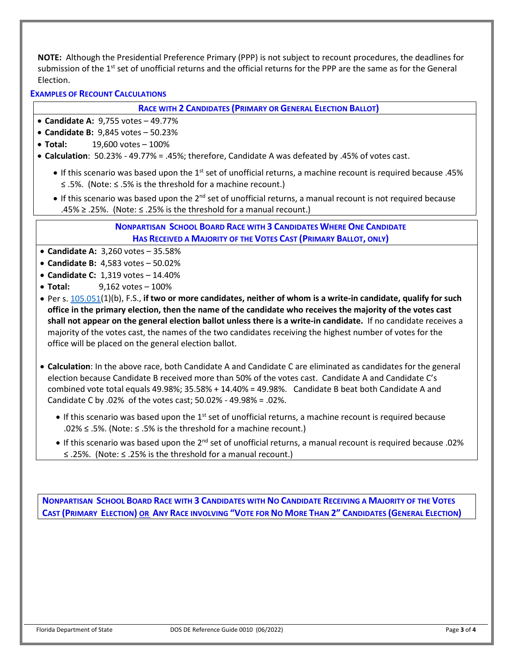**NOTE:** Although the Presidential Preference Primary (PPP) is not subject to recount procedures, the deadlines for submission of the 1<sup>st</sup> set of unofficial returns and the official returns for the PPP are the same as for the General Election.

**EXAMPLES OF RECOUNT CALCULATIONS**

**RACE WITH 2 CANDIDATES (PRIMARY OR GENERAL ELECTION BALLOT)**

- **Candidate A:** 9,755 votes 49.77%
- **Candidate B:** 9,845 votes 50.23%
- **Total:** 19,600 votes 100%
- **Calculation**: 50.23% 49.77% = .45%; therefore, Candidate A was defeated by .45% of votes cast.
	- If this scenario was based upon the 1<sup>st</sup> set of unofficial returns, a machine recount is required because .45% ≤ .5%. (Note: ≤ .5% is the threshold for a machine recount.)
	- If this scenario was based upon the 2<sup>nd</sup> set of unofficial returns, a manual recount is not required because .45% ≥ .25%. (Note:  $\le$  .25% is the threshold for a manual recount.)

**NONPARTISAN SCHOOL BOARD RACE WITH 3 CANDIDATES WHERE ONE CANDIDATE HAS RECEIVED A MAJORITY OF THE VOTES CAST (PRIMARY BALLOT, ONLY)**

- **Candidate A:** 3,260 votes 35.58%
- **Candidate B:** 4,583 votes 50.02%
- **Candidate C:** 1,319 votes 14.40%
- **Total:** 9,162 votes 100%
- Per s[. 105.051\(](http://www.leg.state.fl.us/Statutes/index.cfm?App_mode=Display_Statute&Search_String=&URL=0100-0199/0105/Sections/0105.051.html)1)(b), F.S., **if two or more candidates, neither of whom is a write-in candidate, qualify for such office in the primary election, then the name of the candidate who receives the majority of the votes cast shall not appear on the general election ballot unless there is a write-in candidate.** If no candidate receives a majority of the votes cast, the names of the two candidates receiving the highest number of votes for the office will be placed on the general election ballot.
- **Calculation**: In the above race, both Candidate A and Candidate C are eliminated as candidates for the general election because Candidate B received more than 50% of the votes cast. Candidate A and Candidate C's combined vote total equals 49.98%; 35.58% + 14.40% = 49.98%. Candidate B beat both Candidate A and Candidate C by .02% of the votes cast; 50.02% - 49.98% = .02%.
	- $\bullet$  If this scenario was based upon the 1<sup>st</sup> set of unofficial returns, a machine recount is required because .02% ≤ .5%. (Note: ≤ .5% is the threshold for a machine recount.)
	- If this scenario was based upon the  $2^{nd}$  set of unofficial returns, a manual recount is required because .02% ≤ .25%. (Note: ≤ .25% is the threshold for a manual recount.)

**NONPARTISAN SCHOOL BOARD RACE WITH 3 CANDIDATES WITH NO CANDIDATE RECEIVING A MAJORITY OF THE VOTES CAST (PRIMARY ELECTION) OR ANY RACE INVOLVING "VOTE FOR NO MORE THAN 2" CANDIDATES (GENERAL ELECTION)**